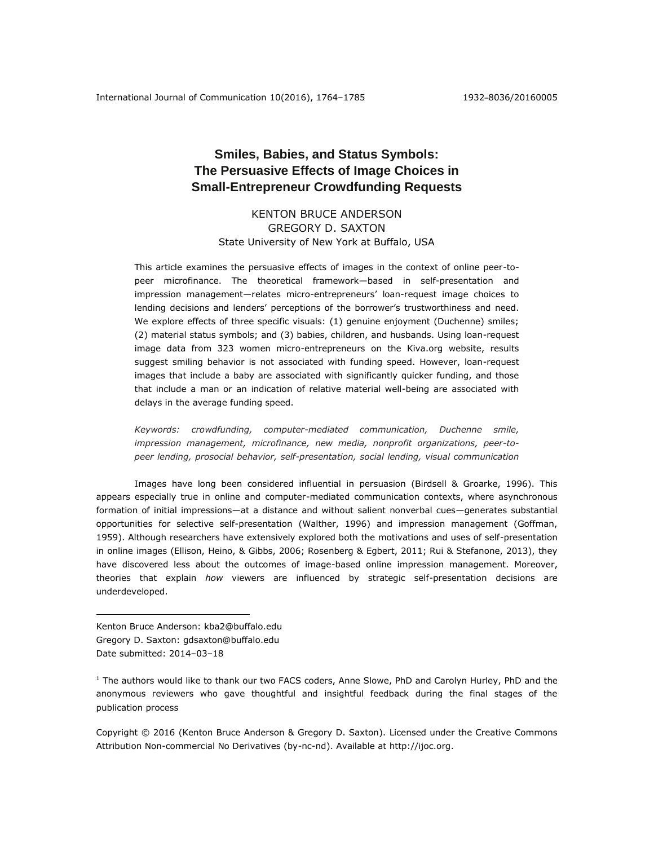# **Smiles, Babies, and Status Symbols: The Persuasive Effects of Image Choices in Small-Entrepreneur Crowdfunding Requests**

KENTON BRUCE ANDERSON GREGORY D. SAXTON State University of New York at Buffalo, USA

This article examines the persuasive effects of images in the context of online peer-topeer microfinance. The theoretical framework—based in self-presentation and impression management—relates micro-entrepreneurs' loan-request image choices to lending decisions and lenders' perceptions of the borrower's trustworthiness and need. We explore effects of three specific visuals: (1) genuine enjoyment (Duchenne) smiles; (2) material status symbols; and (3) babies, children, and husbands. Using loan-request image data from 323 women micro-entrepreneurs on the Kiva.org website, results suggest smiling behavior is not associated with funding speed. However, loan-request images that include a baby are associated with significantly quicker funding, and those that include a man or an indication of relative material well-being are associated with delays in the average funding speed.

*Keywords: crowdfunding, computer-mediated communication, Duchenne smile, impression management, microfinance, new media, nonprofit organizations, peer-topeer lending, prosocial behavior, self-presentation, social lending, visual communication*

Images have long been considered influential in persuasion (Birdsell & Groarke, 1996). This appears especially true in online and computer-mediated communication contexts, where asynchronous formation of initial impressions—at a distance and without salient nonverbal cues—generates substantial opportunities for selective self-presentation (Walther, 1996) and impression management (Goffman, 1959). Although researchers have extensively explored both the motivations and uses of self-presentation in online images (Ellison, Heino, & Gibbs, 2006; Rosenberg & Egbert, 2011; Rui & Stefanone, 2013), they have discovered less about the outcomes of image-based online impression management. Moreover, theories that explain *how* viewers are influenced by strategic self-presentation decisions are underdeveloped.

Kenton Bruce Anderson: kba2@buffalo.edu Gregory D. Saxton: gdsaxton@buffalo.edu Date submitted: 2014–03–18

 $\overline{a}$ 

<sup>1</sup> The authors would like to thank our two FACS coders, Anne Slowe, PhD and Carolyn Hurley, PhD and the anonymous reviewers who gave thoughtful and insightful feedback during the final stages of the publication process

Copyright © 2016 (Kenton Bruce Anderson & Gregory D. Saxton). Licensed under the Creative Commons Attribution Non-commercial No Derivatives (by-nc-nd). Available at [http://ijoc.org.](http://ijoc.org/)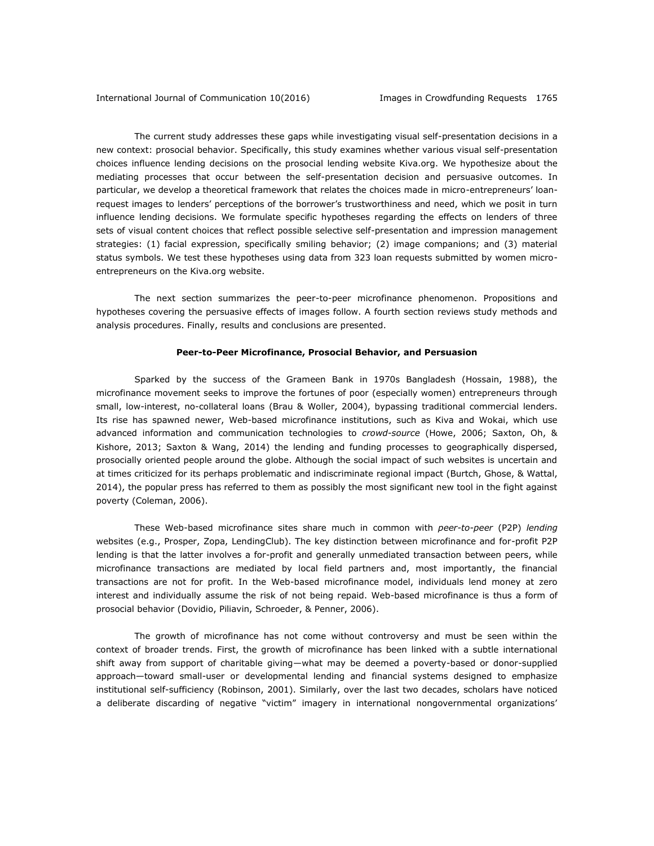The current study addresses these gaps while investigating visual self-presentation decisions in a new context: prosocial behavior. Specifically, this study examines whether various visual self-presentation choices influence lending decisions on the prosocial lending website Kiva.org. We hypothesize about the mediating processes that occur between the self-presentation decision and persuasive outcomes. In particular, we develop a theoretical framework that relates the choices made in micro-entrepreneurs' loanrequest images to lenders' perceptions of the borrower's trustworthiness and need, which we posit in turn influence lending decisions. We formulate specific hypotheses regarding the effects on lenders of three sets of visual content choices that reflect possible selective self-presentation and impression management strategies: (1) facial expression, specifically smiling behavior; (2) image companions; and (3) material status symbols. We test these hypotheses using data from 323 loan requests submitted by women microentrepreneurs on the Kiva.org website.

The next section summarizes the peer-to-peer microfinance phenomenon. Propositions and hypotheses covering the persuasive effects of images follow. A fourth section reviews study methods and analysis procedures. Finally, results and conclusions are presented.

## **Peer-to-Peer Microfinance, Prosocial Behavior, and Persuasion**

Sparked by the success of the Grameen Bank in 1970s Bangladesh (Hossain, 1988), the microfinance movement seeks to improve the fortunes of poor (especially women) entrepreneurs through small, low-interest, no-collateral loans (Brau & Woller, 2004), bypassing traditional commercial lenders. Its rise has spawned newer, Web-based microfinance institutions, such as Kiva and Wokai, which use advanced information and communication technologies to *crowd-source* (Howe, 2006; Saxton, Oh, & Kishore, 2013; Saxton & Wang, 2014) the lending and funding processes to geographically dispersed, prosocially oriented people around the globe. Although the social impact of such websites is uncertain and at times criticized for its perhaps problematic and indiscriminate regional impact (Burtch, Ghose, & Wattal, 2014), the popular press has referred to them as possibly the most significant new tool in the fight against poverty (Coleman, 2006).

These Web-based microfinance sites share much in common with *peer-to-peer* (P2P) *lending* websites (e.g., Prosper, Zopa, LendingClub). The key distinction between microfinance and for-profit P2P lending is that the latter involves a for-profit and generally unmediated transaction between peers, while microfinance transactions are mediated by local field partners and, most importantly, the financial transactions are not for profit. In the Web-based microfinance model, individuals lend money at zero interest and individually assume the risk of not being repaid. Web-based microfinance is thus a form of prosocial behavior (Dovidio, Piliavin, Schroeder, & Penner, 2006).

The growth of microfinance has not come without controversy and must be seen within the context of broader trends. First, the growth of microfinance has been linked with a subtle international shift away from support of charitable giving—what may be deemed a poverty-based or donor-supplied approach—toward small-user or developmental lending and financial systems designed to emphasize institutional self-sufficiency (Robinson, 2001). Similarly, over the last two decades, scholars have noticed a deliberate discarding of negative "victim" imagery in international nongovernmental organizations'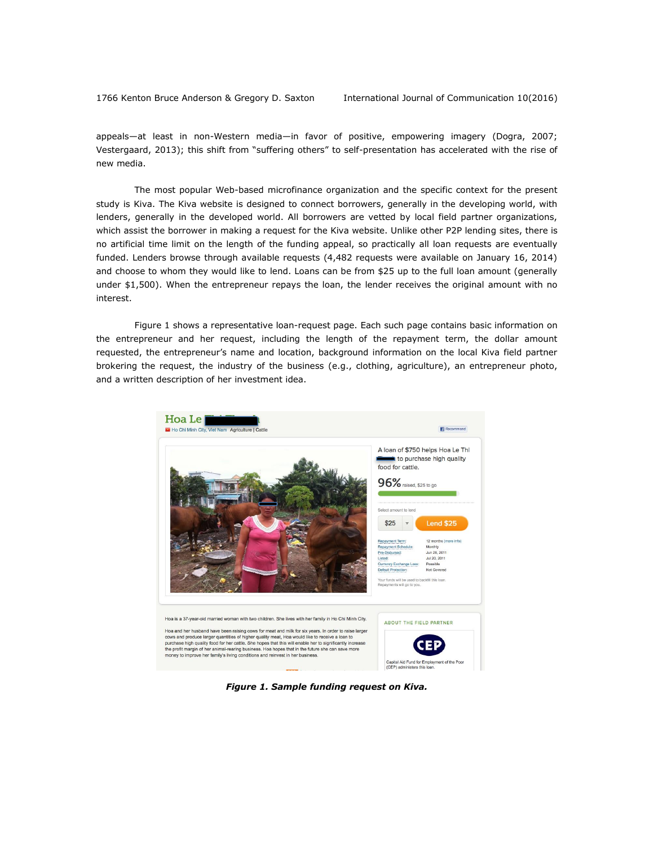appeals—at least in non-Western media—in favor of positive, empowering imagery (Dogra, 2007; Vestergaard, 2013); this shift from "suffering others" to self-presentation has accelerated with the rise of new media.

The most popular Web-based microfinance organization and the specific context for the present study is Kiva. The Kiva website is designed to connect borrowers, generally in the developing world, with lenders, generally in the developed world. All borrowers are vetted by local field partner organizations, which assist the borrower in making a request for the Kiva website. Unlike other P2P lending sites, there is no artificial time limit on the length of the funding appeal, so practically all loan requests are eventually funded. Lenders browse through available requests (4,482 requests were available on January 16, 2014) and choose to whom they would like to lend. Loans can be from \$25 up to the full loan amount (generally under \$1,500). When the entrepreneur repays the loan, the lender receives the original amount with no interest.

Figure 1 shows a representative loan-request page. Each such page contains basic information on the entrepreneur and her request, including the length of the repayment term, the dollar amount requested, the entrepreneur's name and location, background information on the local Kiva field partner brokering the request, the industry of the business (e.g., clothing, agriculture), an entrepreneur photo, and a written description of her investment idea.



*Figure 1. Sample funding request on Kiva.*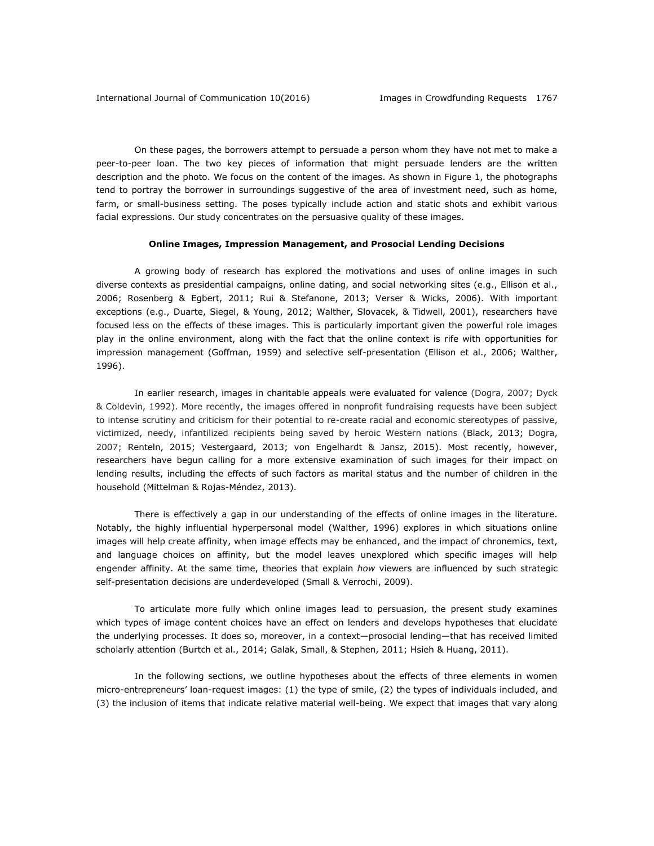On these pages, the borrowers attempt to persuade a person whom they have not met to make a peer-to-peer loan. The two key pieces of information that might persuade lenders are the written description and the photo. We focus on the content of the images. As shown in Figure 1, the photographs tend to portray the borrower in surroundings suggestive of the area of investment need, such as home, farm, or small-business setting. The poses typically include action and static shots and exhibit various facial expressions. Our study concentrates on the persuasive quality of these images.

### **Online Images, Impression Management, and Prosocial Lending Decisions**

A growing body of research has explored the motivations and uses of online images in such diverse contexts as presidential campaigns, online dating, and social networking sites (e.g., Ellison et al., 2006; Rosenberg & Egbert, 2011; Rui & Stefanone, 2013; Verser & Wicks, 2006). With important exceptions (e.g., Duarte, Siegel, & Young, 2012; Walther, Slovacek, & Tidwell, 2001), researchers have focused less on the effects of these images. This is particularly important given the powerful role images play in the online environment, along with the fact that the online context is rife with opportunities for impression management (Goffman, 1959) and selective self-presentation (Ellison et al., 2006; Walther, 1996).

In earlier research, images in charitable appeals were evaluated for valence (Dogra, 2007; Dyck & Coldevin, 1992). More recently, the images offered in nonprofit fundraising requests have been subject to intense scrutiny and criticism for their potential to re-create racial and economic stereotypes of passive, victimized, needy, infantilized recipients being saved by heroic Western nations (Black, 2013; Dogra, 2007; Renteln, 2015; Vestergaard, 2013; von Engelhardt & Jansz, 2015). Most recently, however, researchers have begun calling for a more extensive examination of such images for their impact on lending results, including the effects of such factors as marital status and the number of children in the household (Mittelman & Rojas-Méndez, 2013).

There is effectively a gap in our understanding of the effects of online images in the literature. Notably, the highly influential hyperpersonal model (Walther, 1996) explores in which situations online images will help create affinity, when image effects may be enhanced, and the impact of chronemics, text, and language choices on affinity, but the model leaves unexplored which specific images will help engender affinity. At the same time, theories that explain *how* viewers are influenced by such strategic self-presentation decisions are underdeveloped (Small & Verrochi, 2009).

To articulate more fully which online images lead to persuasion, the present study examines which types of image content choices have an effect on lenders and develops hypotheses that elucidate the underlying processes. It does so, moreover, in a context—prosocial lending—that has received limited scholarly attention (Burtch et al., 2014; Galak, Small, & Stephen, 2011; Hsieh & Huang, 2011).

In the following sections, we outline hypotheses about the effects of three elements in women micro-entrepreneurs' loan-request images: (1) the type of smile, (2) the types of individuals included, and (3) the inclusion of items that indicate relative material well-being. We expect that images that vary along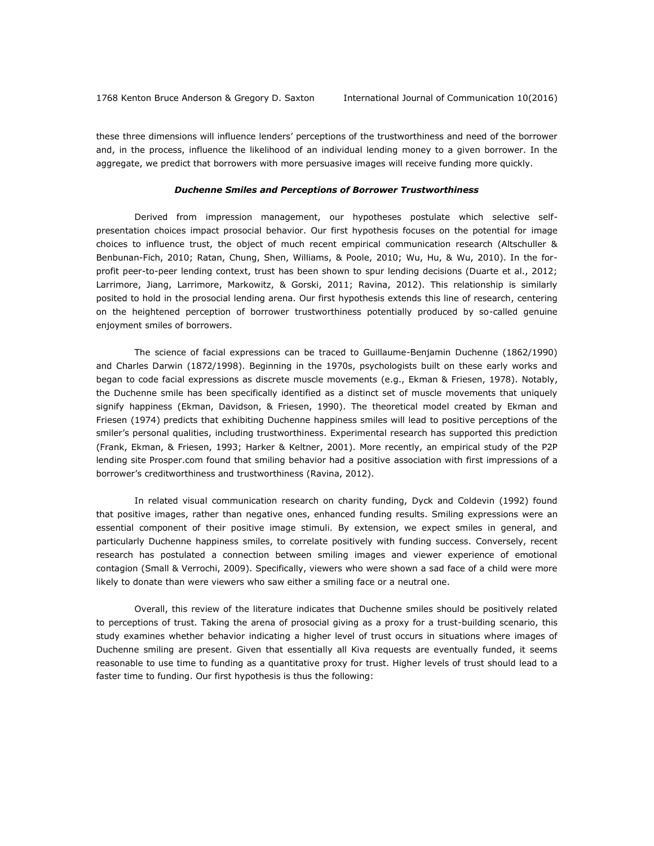these three dimensions will influence lenders' perceptions of the trustworthiness and need of the borrower and, in the process, influence the likelihood of an individual lending money to a given borrower. In the aggregate, we predict that borrowers with more persuasive images will receive funding more quickly.

#### *Duchenne Smiles and Perceptions of Borrower Trustworthiness*

Derived from impression management, our hypotheses postulate which selective selfpresentation choices impact prosocial behavior. Our first hypothesis focuses on the potential for image choices to influence trust, the object of much recent empirical communication research (Altschuller & Benbunan-Fich, 2010; Ratan, Chung, Shen, Williams, & Poole, 2010; Wu, Hu, & Wu, 2010). In the forprofit peer-to-peer lending context, trust has been shown to spur lending decisions (Duarte et al., 2012; Larrimore, Jiang, Larrimore, Markowitz, & Gorski, 2011; Ravina, 2012). This relationship is similarly posited to hold in the prosocial lending arena. Our first hypothesis extends this line of research, centering on the heightened perception of borrower trustworthiness potentially produced by so-called genuine enjoyment smiles of borrowers.

The science of facial expressions can be traced to Guillaume-Benjamin Duchenne (1862/1990) and Charles Darwin (1872/1998). Beginning in the 1970s, psychologists built on these early works and began to code facial expressions as discrete muscle movements (e.g., Ekman & Friesen, 1978). Notably, the Duchenne smile has been specifically identified as a distinct set of muscle movements that uniquely signify happiness (Ekman, Davidson, & Friesen, 1990). The theoretical model created by Ekman and Friesen (1974) predicts that exhibiting Duchenne happiness smiles will lead to positive perceptions of the smiler's personal qualities, including trustworthiness. Experimental research has supported this prediction (Frank, Ekman, & Friesen, 1993; Harker & Keltner, 2001). More recently, an empirical study of the P2P lending site Prosper.com found that smiling behavior had a positive association with first impressions of a borrower's creditworthiness and trustworthiness (Ravina, 2012).

In related visual communication research on charity funding, Dyck and Coldevin (1992) found that positive images, rather than negative ones, enhanced funding results. Smiling expressions were an essential component of their positive image stimuli. By extension, we expect smiles in general, and particularly Duchenne happiness smiles, to correlate positively with funding success. Conversely, recent research has postulated a connection between smiling images and viewer experience of emotional contagion (Small & Verrochi, 2009). Specifically, viewers who were shown a sad face of a child were more likely to donate than were viewers who saw either a smiling face or a neutral one.

Overall, this review of the literature indicates that Duchenne smiles should be positively related to perceptions of trust. Taking the arena of prosocial giving as a proxy for a trust-building scenario, this study examines whether behavior indicating a higher level of trust occurs in situations where images of Duchenne smiling are present. Given that essentially all Kiva requests are eventually funded, it seems reasonable to use time to funding as a quantitative proxy for trust. Higher levels of trust should lead to a faster time to funding. Our first hypothesis is thus the following: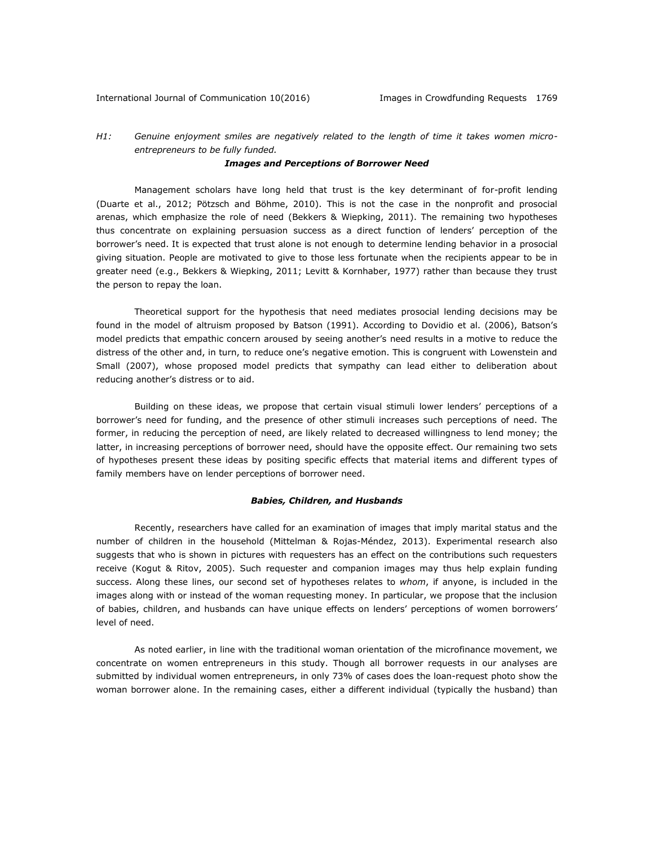# *H1: Genuine enjoyment smiles are negatively related to the length of time it takes women microentrepreneurs to be fully funded.*

# *Images and Perceptions of Borrower Need*

Management scholars have long held that trust is the key determinant of for-profit lending (Duarte et al., 2012; Pötzsch and Böhme, 2010). This is not the case in the nonprofit and prosocial arenas, which emphasize the role of need (Bekkers & Wiepking, 2011). The remaining two hypotheses thus concentrate on explaining persuasion success as a direct function of lenders' perception of the borrower's need. It is expected that trust alone is not enough to determine lending behavior in a prosocial giving situation. People are motivated to give to those less fortunate when the recipients appear to be in greater need (e.g., Bekkers & Wiepking, 2011; Levitt & Kornhaber, 1977) rather than because they trust the person to repay the loan.

Theoretical support for the hypothesis that need mediates prosocial lending decisions may be found in the model of altruism proposed by Batson (1991). According to Dovidio et al. (2006), Batson's model predicts that empathic concern aroused by seeing another's need results in a motive to reduce the distress of the other and, in turn, to reduce one's negative emotion. This is congruent with Lowenstein and Small (2007), whose proposed model predicts that sympathy can lead either to deliberation about reducing another's distress or to aid.

Building on these ideas, we propose that certain visual stimuli lower lenders' perceptions of a borrower's need for funding, and the presence of other stimuli increases such perceptions of need. The former, in reducing the perception of need, are likely related to decreased willingness to lend money; the latter, in increasing perceptions of borrower need, should have the opposite effect. Our remaining two sets of hypotheses present these ideas by positing specific effects that material items and different types of family members have on lender perceptions of borrower need.

## *Babies, Children, and Husbands*

Recently, researchers have called for an examination of images that imply marital status and the number of children in the household (Mittelman & Rojas-Méndez, 2013). Experimental research also suggests that who is shown in pictures with requesters has an effect on the contributions such requesters receive (Kogut & Ritov, 2005). Such requester and companion images may thus help explain funding success. Along these lines, our second set of hypotheses relates to *whom*, if anyone, is included in the images along with or instead of the woman requesting money. In particular, we propose that the inclusion of babies, children, and husbands can have unique effects on lenders' perceptions of women borrowers' level of need.

As noted earlier, in line with the traditional woman orientation of the microfinance movement, we concentrate on women entrepreneurs in this study. Though all borrower requests in our analyses are submitted by individual women entrepreneurs, in only 73% of cases does the loan-request photo show the woman borrower alone. In the remaining cases, either a different individual (typically the husband) than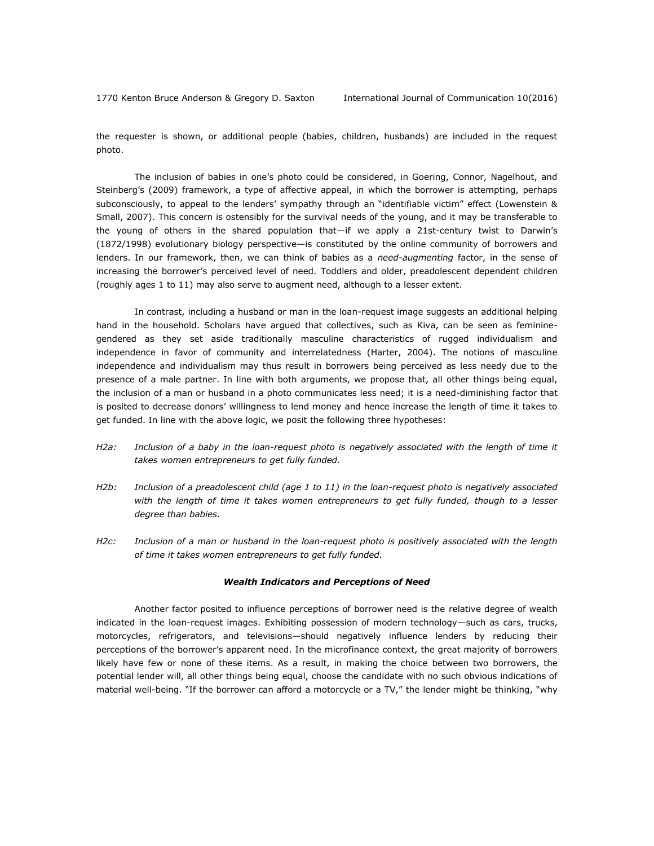the requester is shown, or additional people (babies, children, husbands) are included in the request photo.

The inclusion of babies in one's photo could be considered, in Goering, Connor, Nagelhout, and Steinberg's (2009) framework, a type of affective appeal, in which the borrower is attempting, perhaps subconsciously, to appeal to the lenders' sympathy through an "identifiable victim" effect (Lowenstein & Small, 2007). This concern is ostensibly for the survival needs of the young, and it may be transferable to the young of others in the shared population that—if we apply a 21st-century twist to Darwin's (1872/1998) evolutionary biology perspective—is constituted by the online community of borrowers and lenders. In our framework, then, we can think of babies as a *need-augmenting* factor, in the sense of increasing the borrower's perceived level of need. Toddlers and older, preadolescent dependent children (roughly ages 1 to 11) may also serve to augment need, although to a lesser extent.

In contrast, including a husband or man in the loan-request image suggests an additional helping hand in the household. Scholars have argued that collectives, such as Kiva, can be seen as femininegendered as they set aside traditionally masculine characteristics of rugged individualism and independence in favor of community and interrelatedness (Harter, 2004). The notions of masculine independence and individualism may thus result in borrowers being perceived as less needy due to the presence of a male partner. In line with both arguments, we propose that, all other things being equal, the inclusion of a man or husband in a photo communicates less need; it is a need-diminishing factor that is posited to decrease donors' willingness to lend money and hence increase the length of time it takes to get funded. In line with the above logic, we posit the following three hypotheses:

- *H2a: Inclusion of a baby in the loan-request photo is negatively associated with the length of time it takes women entrepreneurs to get fully funded.*
- *H2b: Inclusion of a preadolescent child (age 1 to 11) in the loan-request photo is negatively associated with the length of time it takes women entrepreneurs to get fully funded, though to a lesser degree than babies.*
- *H2c: Inclusion of a man or husband in the loan-request photo is positively associated with the length of time it takes women entrepreneurs to get fully funded.*

## *Wealth Indicators and Perceptions of Need*

Another factor posited to influence perceptions of borrower need is the relative degree of wealth indicated in the loan-request images. Exhibiting possession of modern technology—such as cars, trucks, motorcycles, refrigerators, and televisions—should negatively influence lenders by reducing their perceptions of the borrower's apparent need. In the microfinance context, the great majority of borrowers likely have few or none of these items. As a result, in making the choice between two borrowers, the potential lender will, all other things being equal, choose the candidate with no such obvious indications of material well-being. "If the borrower can afford a motorcycle or a TV," the lender might be thinking, "why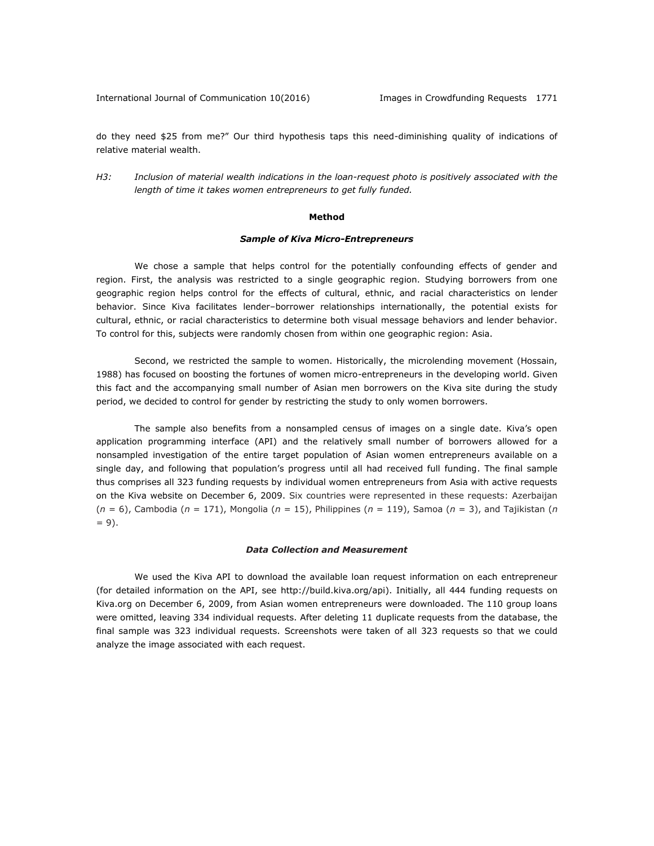International Journal of Communication 10(2016) [Images in Crowdfunding Requests 1771

do they need \$25 from me?" Our third hypothesis taps this need-diminishing quality of indications of relative material wealth.

*H3: Inclusion of material wealth indications in the loan-request photo is positively associated with the length of time it takes women entrepreneurs to get fully funded.* 

### **Method**

### *Sample of Kiva Micro-Entrepreneurs*

We chose a sample that helps control for the potentially confounding effects of gender and region. First, the analysis was restricted to a single geographic region. Studying borrowers from one geographic region helps control for the effects of cultural, ethnic, and racial characteristics on lender behavior. Since Kiva facilitates lender–borrower relationships internationally, the potential exists for cultural, ethnic, or racial characteristics to determine both visual message behaviors and lender behavior. To control for this, subjects were randomly chosen from within one geographic region: Asia.

Second, we restricted the sample to women. Historically, the microlending movement (Hossain, 1988) has focused on boosting the fortunes of women micro-entrepreneurs in the developing world. Given this fact and the accompanying small number of Asian men borrowers on the Kiva site during the study period, we decided to control for gender by restricting the study to only women borrowers.

The sample also benefits from a nonsampled census of images on a single date. Kiva's open application programming interface (API) and the relatively small number of borrowers allowed for a nonsampled investigation of the entire target population of Asian women entrepreneurs available on a single day, and following that population's progress until all had received full funding. The final sample thus comprises all 323 funding requests by individual women entrepreneurs from Asia with active requests on the Kiva website on December 6, 2009. Six countries were represented in these requests: Azerbaijan (*n* = 6), Cambodia (*n* = 171), Mongolia (*n* = 15), Philippines (*n* = 119), Samoa (*n* = 3), and Tajikistan (*n*  $= 9$ ).

#### *Data Collection and Measurement*

We used the Kiva API to download the available loan request information on each entrepreneur (for detailed information on the API, see [http://build.kiva.org/api\)](http://build.kiva.org/api). Initially, all 444 funding requests on Kiva.org on December 6, 2009, from Asian women entrepreneurs were downloaded. The 110 group loans were omitted, leaving 334 individual requests. After deleting 11 duplicate requests from the database, the final sample was 323 individual requests. Screenshots were taken of all 323 requests so that we could analyze the image associated with each request.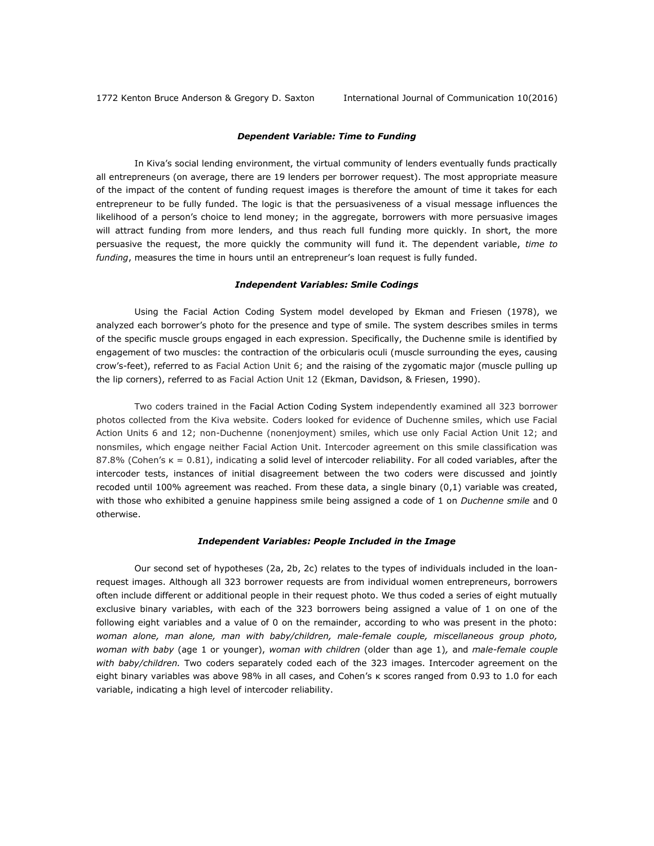## *Dependent Variable: Time to Funding*

In Kiva's social lending environment, the virtual community of lenders eventually funds practically all entrepreneurs (on average, there are 19 lenders per borrower request). The most appropriate measure of the impact of the content of funding request images is therefore the amount of time it takes for each entrepreneur to be fully funded. The logic is that the persuasiveness of a visual message influences the likelihood of a person's choice to lend money; in the aggregate, borrowers with more persuasive images will attract funding from more lenders, and thus reach full funding more quickly. In short, the more persuasive the request, the more quickly the community will fund it. The dependent variable, *time to funding*, measures the time in hours until an entrepreneur's loan request is fully funded.

#### *Independent Variables: Smile Codings*

Using the Facial Action Coding System model developed by Ekman and Friesen (1978), we analyzed each borrower's photo for the presence and type of smile. The system describes smiles in terms of the specific muscle groups engaged in each expression. Specifically, the Duchenne smile is identified by engagement of two muscles: the contraction of the orbicularis oculi (muscle surrounding the eyes, causing crow's-feet), referred to as Facial Action Unit 6; and the raising of the zygomatic major (muscle pulling up the lip corners), referred to as Facial Action Unit 12 (Ekman, Davidson, & Friesen, 1990).

Two coders trained in the Facial Action Coding System independently examined all 323 borrower photos collected from the Kiva website. Coders looked for evidence of Duchenne smiles, which use Facial Action Units 6 and 12; non-Duchenne (nonenjoyment) smiles, which use only Facial Action Unit 12; and nonsmiles, which engage neither Facial Action Unit. Intercoder agreement on this smile classification was 87.8% (Cohen's κ = 0.81), indicating a solid level of intercoder reliability. For all coded variables, after the intercoder tests, instances of initial disagreement between the two coders were discussed and jointly recoded until 100% agreement was reached. From these data, a single binary (0,1) variable was created, with those who exhibited a genuine happiness smile being assigned a code of 1 on *Duchenne smile* and 0 otherwise.

# *Independent Variables: People Included in the Image*

Our second set of hypotheses (2a, 2b, 2c) relates to the types of individuals included in the loanrequest images. Although all 323 borrower requests are from individual women entrepreneurs, borrowers often include different or additional people in their request photo. We thus coded a series of eight mutually exclusive binary variables, with each of the 323 borrowers being assigned a value of 1 on one of the following eight variables and a value of 0 on the remainder, according to who was present in the photo: *woman alone, man alone, man with baby/children, male-female couple, miscellaneous group photo, woman with baby* (age 1 or younger), *woman with children* (older than age 1)*,* and *male-female couple with baby/children.* Two coders separately coded each of the 323 images. Intercoder agreement on the eight binary variables was above 98% in all cases, and Cohen's κ scores ranged from 0.93 to 1.0 for each variable, indicating a high level of intercoder reliability.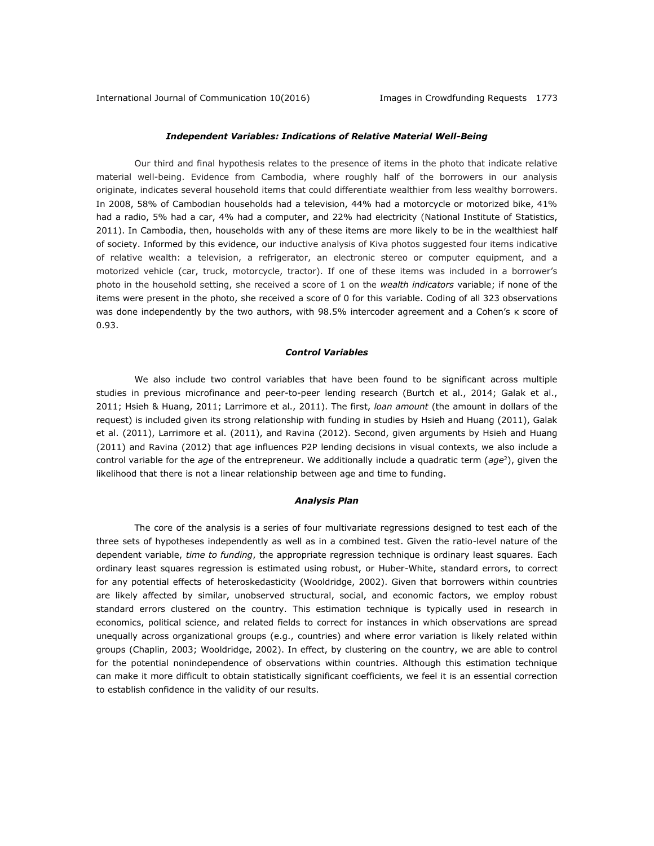## *Independent Variables: Indications of Relative Material Well-Being*

Our third and final hypothesis relates to the presence of items in the photo that indicate relative material well-being. Evidence from Cambodia, where roughly half of the borrowers in our analysis originate, indicates several household items that could differentiate wealthier from less wealthy borrowers. In 2008, 58% of Cambodian households had a television, 44% had a motorcycle or motorized bike, 41% had a radio, 5% had a car, 4% had a computer, and 22% had electricity (National Institute of Statistics, 2011). In Cambodia, then, households with any of these items are more likely to be in the wealthiest half of society. Informed by this evidence, our inductive analysis of Kiva photos suggested four items indicative of relative wealth: a television, a refrigerator, an electronic stereo or computer equipment, and a motorized vehicle (car, truck, motorcycle, tractor). If one of these items was included in a borrower's photo in the household setting, she received a score of 1 on the *wealth indicators* variable; if none of the items were present in the photo, she received a score of 0 for this variable. Coding of all 323 observations was done independently by the two authors, with 98.5% intercoder agreement and a Cohen's κ score of 0.93.

## *Control Variables*

We also include two control variables that have been found to be significant across multiple studies in previous microfinance and peer-to-peer lending research (Burtch et al., 2014; Galak et al., 2011; Hsieh & Huang, 2011; Larrimore et al., 2011). The first, *loan amount* (the amount in dollars of the request) is included given its strong relationship with funding in studies by Hsieh and Huang (2011), Galak et al. (2011), Larrimore et al. (2011), and Ravina (2012). Second, given arguments by Hsieh and Huang (2011) and Ravina (2012) that age influences P2P lending decisions in visual contexts, we also include a control variable for the *age* of the entrepreneur. We additionally include a quadratic term (*age*<sup>2</sup> ), given the likelihood that there is not a linear relationship between age and time to funding.

### *Analysis Plan*

The core of the analysis is a series of four multivariate regressions designed to test each of the three sets of hypotheses independently as well as in a combined test. Given the ratio-level nature of the dependent variable, *time to funding*, the appropriate regression technique is ordinary least squares. Each ordinary least squares regression is estimated using robust, or Huber-White, standard errors, to correct for any potential effects of heteroskedasticity (Wooldridge, 2002). Given that borrowers within countries are likely affected by similar, unobserved structural, social, and economic factors, we employ robust standard errors clustered on the country. This estimation technique is typically used in research in economics, political science, and related fields to correct for instances in which observations are spread unequally across organizational groups (e.g., countries) and where error variation is likely related within groups (Chaplin, 2003; Wooldridge, 2002). In effect, by clustering on the country, we are able to control for the potential nonindependence of observations within countries. Although this estimation technique can make it more difficult to obtain statistically significant coefficients, we feel it is an essential correction to establish confidence in the validity of our results.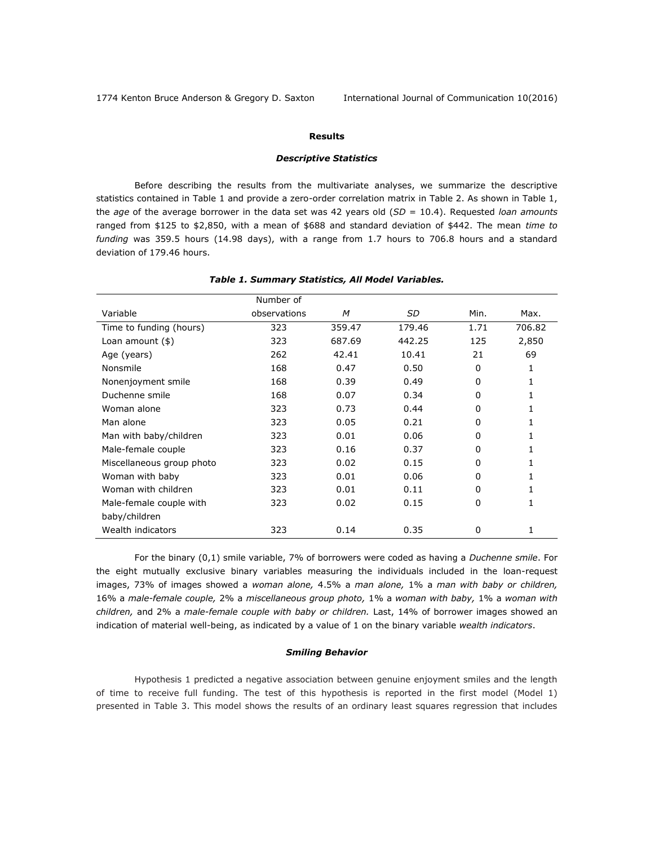1774 Kenton Bruce Anderson & Gregory D. Saxton International Journal of Communication 10(2016)

# **Results**

## *Descriptive Statistics*

Before describing the results from the multivariate analyses, we summarize the descriptive statistics contained in Table 1 and provide a zero-order correlation matrix in Table 2. As shown in Table 1, the *age* of the average borrower in the data set was 42 years old (*SD* = 10.4). Requested *loan amounts*  ranged from \$125 to \$2,850, with a mean of \$688 and standard deviation of \$442. The mean *time to funding* was 359.5 hours (14.98 days), with a range from 1.7 hours to 706.8 hours and a standard deviation of 179.46 hours.

|                           | Number of    |        |        |          |        |
|---------------------------|--------------|--------|--------|----------|--------|
| Variable                  | observations | M      | SD     | Min.     | Max.   |
| Time to funding (hours)   | 323          | 359.47 | 179.46 | 1.71     | 706.82 |
| Loan amount $(\$)$        | 323          | 687.69 | 442.25 | 125      | 2,850  |
| Age (years)               | 262          | 42.41  | 10.41  | 21       | 69     |
| Nonsmile                  | 168          | 0.47   | 0.50   | $\Omega$ | 1      |
| Nonenjoyment smile        | 168          | 0.39   | 0.49   | 0        | 1      |
| Duchenne smile            | 168          | 0.07   | 0.34   | 0        |        |
| Woman alone               | 323          | 0.73   | 0.44   | 0        | 1      |
| Man alone                 | 323          | 0.05   | 0.21   | 0        | 1      |
| Man with baby/children    | 323          | 0.01   | 0.06   | $\Omega$ | 1      |
| Male-female couple        | 323          | 0.16   | 0.37   | $\Omega$ | 1      |
| Miscellaneous group photo | 323          | 0.02   | 0.15   | 0        |        |
| Woman with baby           | 323          | 0.01   | 0.06   | $\Omega$ | 1      |
| Woman with children       | 323          | 0.01   | 0.11   | $\Omega$ | 1      |
| Male-female couple with   | 323          | 0.02   | 0.15   | 0        | 1      |
| baby/children             |              |        |        |          |        |
| Wealth indicators         | 323          | 0.14   | 0.35   | 0        | 1      |

#### *Table 1. Summary Statistics, All Model Variables.*

For the binary (0,1) smile variable, 7% of borrowers were coded as having a *Duchenne smile*. For the eight mutually exclusive binary variables measuring the individuals included in the loan-request images, 73% of images showed a *woman alone,* 4.5% a *man alone,* 1% a *man with baby or children,*  16% a *male-female couple,* 2% a *miscellaneous group photo,* 1% a *woman with baby,* 1% a *woman with children,* and 2% a *male-female couple with baby or children.* Last, 14% of borrower images showed an indication of material well-being, as indicated by a value of 1 on the binary variable *wealth indicators*.

# *Smiling Behavior*

Hypothesis 1 predicted a negative association between genuine enjoyment smiles and the length of time to receive full funding. The test of this hypothesis is reported in the first model (Model 1) presented in Table 3. This model shows the results of an ordinary least squares regression that includes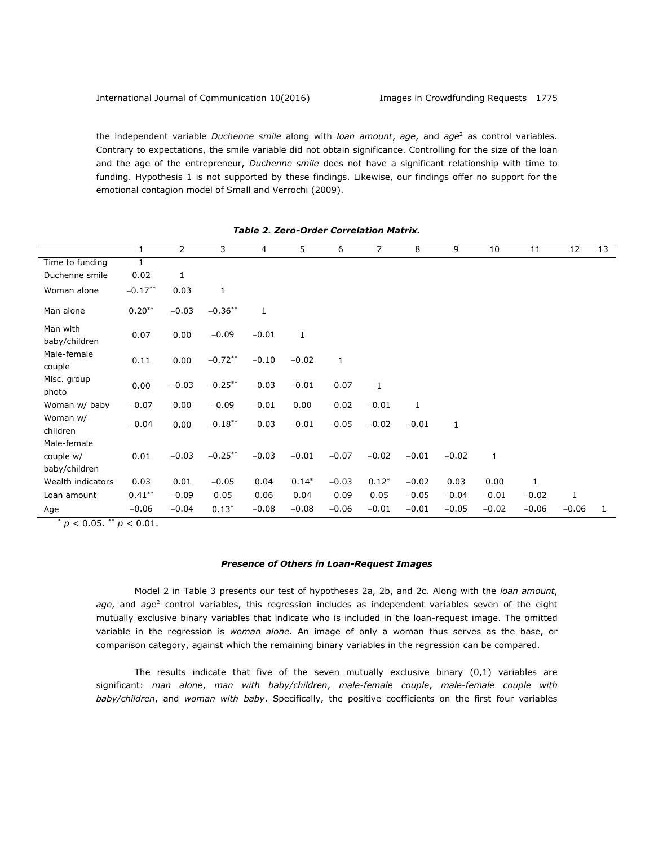the independent variable *Duchenne smile* along with *loan amount*, *age*, and *age*<sup>2</sup> as control variables. Contrary to expectations, the smile variable did not obtain significance. Controlling for the size of the loan and the age of the entrepreneur, *Duchenne smile* does not have a significant relationship with time to funding. Hypothesis 1 is not supported by these findings. Likewise, our findings offer no support for the emotional contagion model of Small and Verrochi (2009).

|                           | 1         | 2       | 3          | 4            | 5           | 6       | 7            | 8            | 9       | 10           | 11      | 12           | 13 |
|---------------------------|-----------|---------|------------|--------------|-------------|---------|--------------|--------------|---------|--------------|---------|--------------|----|
| Time to funding           | 1         |         |            |              |             |         |              |              |         |              |         |              |    |
| Duchenne smile            | 0.02      | 1       |            |              |             |         |              |              |         |              |         |              |    |
| Woman alone               | $-0.17**$ | 0.03    | 1          |              |             |         |              |              |         |              |         |              |    |
| Man alone                 | $0.20***$ | $-0.03$ | $-0.36***$ | $\mathbf{1}$ |             |         |              |              |         |              |         |              |    |
| Man with<br>baby/children | 0.07      | 0.00    | $-0.09$    | $-0.01$      | $\mathbf 1$ |         |              |              |         |              |         |              |    |
| Male-female<br>couple     | 0.11      | 0.00    | $-0.72**$  | $-0.10$      | $-0.02$     | 1       |              |              |         |              |         |              |    |
| Misc. group<br>photo      | 0.00      | $-0.03$ | $-0.25***$ | $-0.03$      | $-0.01$     | $-0.07$ | $\mathbf{1}$ |              |         |              |         |              |    |
| Woman w/ baby             | $-0.07$   | 0.00    | $-0.09$    | $-0.01$      | 0.00        | $-0.02$ | $-0.01$      | $\mathbf{1}$ |         |              |         |              |    |
| Woman w/<br>children      | $-0.04$   | 0.00    | $-0.18***$ | $-0.03$      | $-0.01$     | $-0.05$ | $-0.02$      | $-0.01$      | 1       |              |         |              |    |
| Male-female               |           |         |            |              |             |         |              |              |         |              |         |              |    |
| couple w/                 | 0.01      | $-0.03$ | $-0.25***$ | $-0.03$      | $-0.01$     | $-0.07$ | $-0.02$      | $-0.01$      | $-0.02$ | $\mathbf{1}$ |         |              |    |
| baby/children             |           |         |            |              |             |         |              |              |         |              |         |              |    |
| Wealth indicators         | 0.03      | 0.01    | $-0.05$    | 0.04         | $0.14*$     | $-0.03$ | $0.12*$      | $-0.02$      | 0.03    | 0.00         | 1       |              |    |
| Loan amount               | $0.41***$ | $-0.09$ | 0.05       | 0.06         | 0.04        | $-0.09$ | 0.05         | $-0.05$      | $-0.04$ | $-0.01$      | $-0.02$ | $\mathbf{1}$ |    |
| Age                       | $-0.06$   | $-0.04$ | $0.13*$    | $-0.08$      | $-0.08$     | $-0.06$ | $-0.01$      | $-0.01$      | $-0.05$ | $-0.02$      | $-0.06$ | $-0.06$      | 1  |

 $p < 0.05$ . \*\*  $p < 0.01$ .

## *Presence of Others in Loan-Request Images*

Model 2 in Table 3 presents our test of hypotheses 2a, 2b, and 2c. Along with the *loan amount*, *age*, and *age*<sup>2</sup> control variables, this regression includes as independent variables seven of the eight mutually exclusive binary variables that indicate who is included in the loan-request image. The omitted variable in the regression is *woman alone.* An image of only a woman thus serves as the base, or comparison category, against which the remaining binary variables in the regression can be compared.

The results indicate that five of the seven mutually exclusive binary (0,1) variables are significant: *man alone*, *man with baby/children*, *male-female couple*, *male-female couple with baby/children*, and *woman with baby*. Specifically, the positive coefficients on the first four variables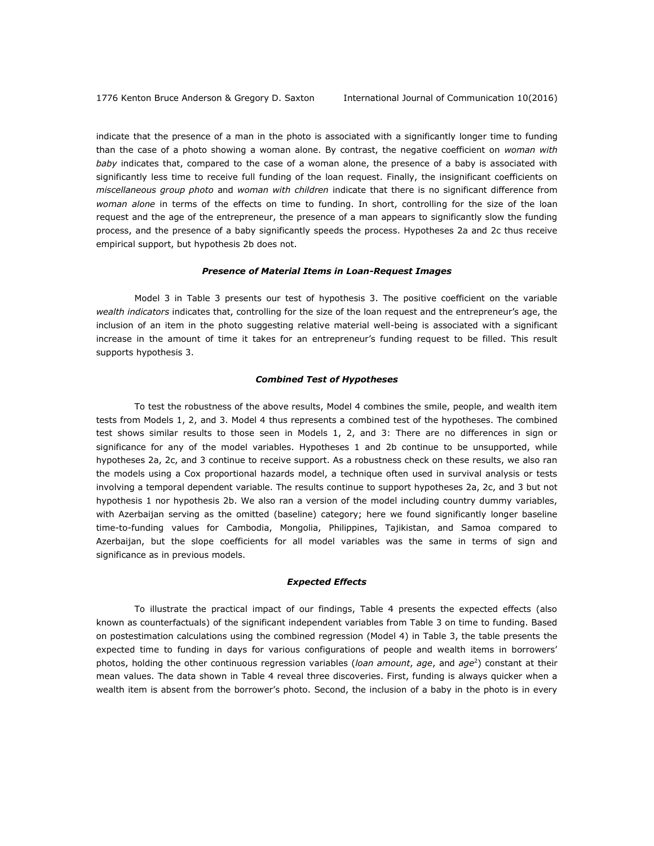indicate that the presence of a man in the photo is associated with a significantly longer time to funding than the case of a photo showing a woman alone. By contrast, the negative coefficient on *woman with baby* indicates that, compared to the case of a woman alone, the presence of a baby is associated with significantly less time to receive full funding of the loan request. Finally, the insignificant coefficients on *miscellaneous group photo* and *woman with children* indicate that there is no significant difference from *woman alone* in terms of the effects on time to funding. In short, controlling for the size of the loan request and the age of the entrepreneur, the presence of a man appears to significantly slow the funding process, and the presence of a baby significantly speeds the process. Hypotheses 2a and 2c thus receive empirical support, but hypothesis 2b does not.

#### *Presence of Material Items in Loan-Request Images*

Model 3 in Table 3 presents our test of hypothesis 3. The positive coefficient on the variable *wealth indicators* indicates that, controlling for the size of the loan request and the entrepreneur's age, the inclusion of an item in the photo suggesting relative material well-being is associated with a significant increase in the amount of time it takes for an entrepreneur's funding request to be filled. This result supports hypothesis 3.

#### *Combined Test of Hypotheses*

To test the robustness of the above results, Model 4 combines the smile, people, and wealth item tests from Models 1, 2, and 3. Model 4 thus represents a combined test of the hypotheses. The combined test shows similar results to those seen in Models 1, 2, and 3: There are no differences in sign or significance for any of the model variables. Hypotheses 1 and 2b continue to be unsupported, while hypotheses 2a, 2c, and 3 continue to receive support. As a robustness check on these results, we also ran the models using a Cox proportional hazards model, a technique often used in survival analysis or tests involving a temporal dependent variable. The results continue to support hypotheses 2a, 2c, and 3 but not hypothesis 1 nor hypothesis 2b. We also ran a version of the model including country dummy variables, with Azerbaijan serving as the omitted (baseline) category; here we found significantly longer baseline time-to-funding values for Cambodia, Mongolia, Philippines, Tajikistan, and Samoa compared to Azerbaijan, but the slope coefficients for all model variables was the same in terms of sign and significance as in previous models.

# *Expected Effects*

To illustrate the practical impact of our findings, Table 4 presents the expected effects (also known as counterfactuals) of the significant independent variables from Table 3 on time to funding. Based on postestimation calculations using the combined regression (Model 4) in Table 3, the table presents the expected time to funding in days for various configurations of people and wealth items in borrowers' photos, holding the other continuous regression variables (*loan amount*, *age*, and *age*<sup>2</sup> ) constant at their mean values. The data shown in Table 4 reveal three discoveries. First, funding is always quicker when a wealth item is absent from the borrower's photo. Second, the inclusion of a baby in the photo is in every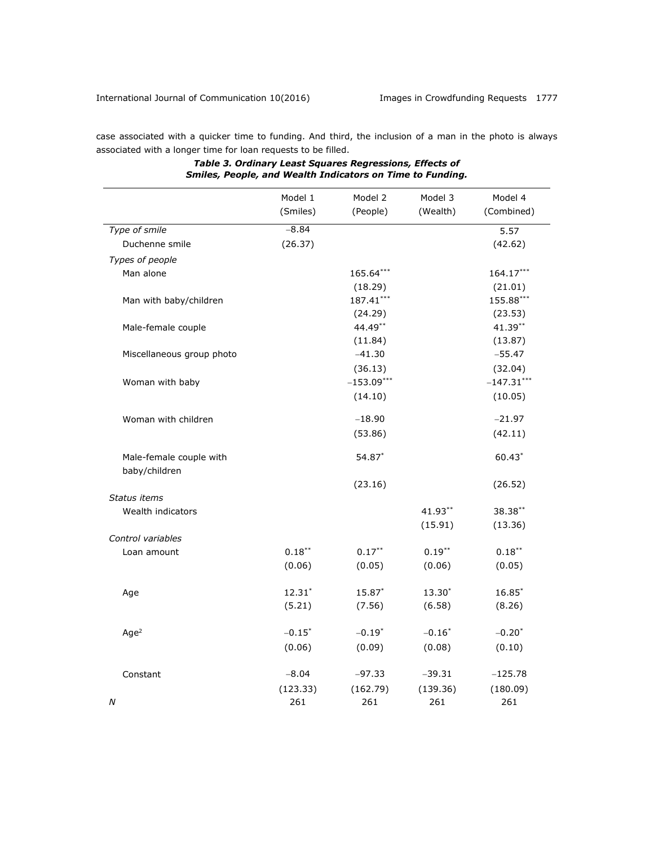case associated with a quicker time to funding. And third, the inclusion of a man in the photo is always associated with a longer time for loan requests to be filled.

|                                          | Model 1<br>(Smiles) | Model 2<br>(People) | Model 3<br>(Wealth) | Model 4<br>(Combined) |
|------------------------------------------|---------------------|---------------------|---------------------|-----------------------|
| Type of smile                            | $-8.84$             |                     |                     | 5.57                  |
| Duchenne smile                           | (26.37)             |                     |                     | (42.62)               |
| Types of people                          |                     |                     |                     |                       |
| Man alone                                |                     | 165.64***           |                     | 164.17***             |
|                                          |                     | (18.29)             |                     | (21.01)               |
| Man with baby/children                   |                     | 187.41***           |                     | 155.88***             |
|                                          |                     | (24.29)             |                     | (23.53)               |
| Male-female couple                       |                     | 44.49**             |                     | 41.39**               |
|                                          |                     | (11.84)             |                     | (13.87)               |
| Miscellaneous group photo                |                     | $-41.30$            |                     | $-55.47$              |
|                                          |                     | (36.13)             |                     | (32.04)               |
| Woman with baby                          |                     | $-153.09***$        |                     | $-147.31***$          |
|                                          |                     | (14.10)             |                     | (10.05)               |
| Woman with children                      |                     | $-18.90$            |                     | $-21.97$              |
|                                          |                     | (53.86)             |                     | (42.11)               |
| Male-female couple with<br>baby/children |                     | 54.87*              |                     | $60.43*$              |
|                                          |                     | (23.16)             |                     | (26.52)               |
| Status items                             |                     |                     |                     |                       |
| Wealth indicators                        |                     |                     | 41.93**             | 38.38**               |
|                                          |                     |                     | (15.91)             | (13.36)               |
| Control variables                        |                     |                     |                     |                       |
| Loan amount                              | $0.18***$           | $0.17***$           | $0.19***$           | $0.18***$             |
|                                          | (0.06)              | (0.05)              | (0.06)              | (0.05)                |
| Age                                      | $12.31*$            | 15.87*              | 13.30*              | $16.85*$              |
|                                          | (5.21)              | (7.56)              | (6.58)              | (8.26)                |
| Age <sup>2</sup>                         | $-0.15*$            | $-0.19*$            | $-0.16*$            | $-0.20*$              |
|                                          | (0.06)              | (0.09)              | (0.08)              | (0.10)                |
|                                          |                     |                     |                     |                       |
| Constant                                 | $-8.04$             | $-97.33$            | $-39.31$            | $-125.78$             |
|                                          | (123.33)            | (162.79)            | (139.36)            | (180.09)              |
| Ν                                        | 261                 | 261                 | 261                 | 261                   |

# *Table 3. Ordinary Least Squares Regressions, Effects of Smiles, People, and Wealth Indicators on Time to Funding.*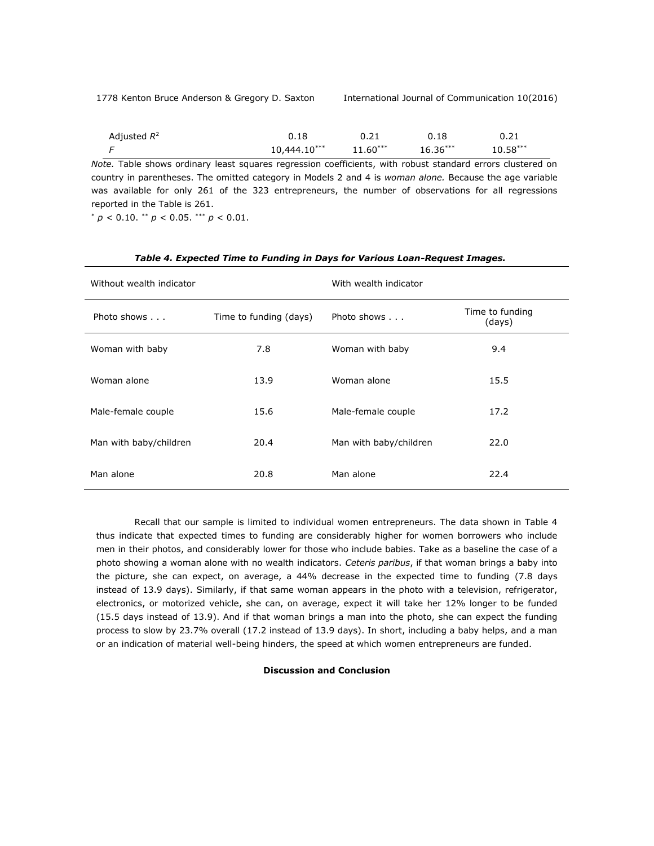| Adjusted $R^2$ | 0.18         | 0.21       | 0.18       | 0.21       |
|----------------|--------------|------------|------------|------------|
|                | 10,444.10*** | $11.60***$ | $16.36***$ | $10.58***$ |
|                |              |            |            |            |

*Note.* Table shows ordinary least squares regression coefficients, with robust standard errors clustered on country in parentheses. The omitted category in Models 2 and 4 is *woman alone.* Because the age variable was available for only 261 of the 323 entrepreneurs, the number of observations for all regressions reported in the Table is 261.

 $p^* p < 0.10$ . \*\*  $p < 0.05$ . \*\*\*  $p < 0.01$ .

| Without wealth indicator |                        | With wealth indicator  |                           |
|--------------------------|------------------------|------------------------|---------------------------|
| Photo shows              | Time to funding (days) | Photo shows            | Time to funding<br>(days) |
| Woman with baby          | 7.8                    | Woman with baby        | 9.4                       |
| Woman alone              | 13.9                   | Woman alone            | 15.5                      |
| Male-female couple       | 15.6                   | Male-female couple     | 17.2                      |
| Man with baby/children   | 20.4                   | Man with baby/children | 22.0                      |
| Man alone                | 20.8                   | Man alone              | 22.4                      |

# *Table 4. Expected Time to Funding in Days for Various Loan-Request Images.*

Recall that our sample is limited to individual women entrepreneurs. The data shown in Table 4 thus indicate that expected times to funding are considerably higher for women borrowers who include men in their photos, and considerably lower for those who include babies. Take as a baseline the case of a photo showing a woman alone with no wealth indicators. *Ceteris paribus*, if that woman brings a baby into the picture, she can expect, on average, a 44% decrease in the expected time to funding (7.8 days instead of 13.9 days). Similarly, if that same woman appears in the photo with a television, refrigerator, electronics, or motorized vehicle, she can, on average, expect it will take her 12% longer to be funded (15.5 days instead of 13.9). And if that woman brings a man into the photo, she can expect the funding process to slow by 23.7% overall (17.2 instead of 13.9 days). In short, including a baby helps, and a man or an indication of material well-being hinders, the speed at which women entrepreneurs are funded.

# **Discussion and Conclusion**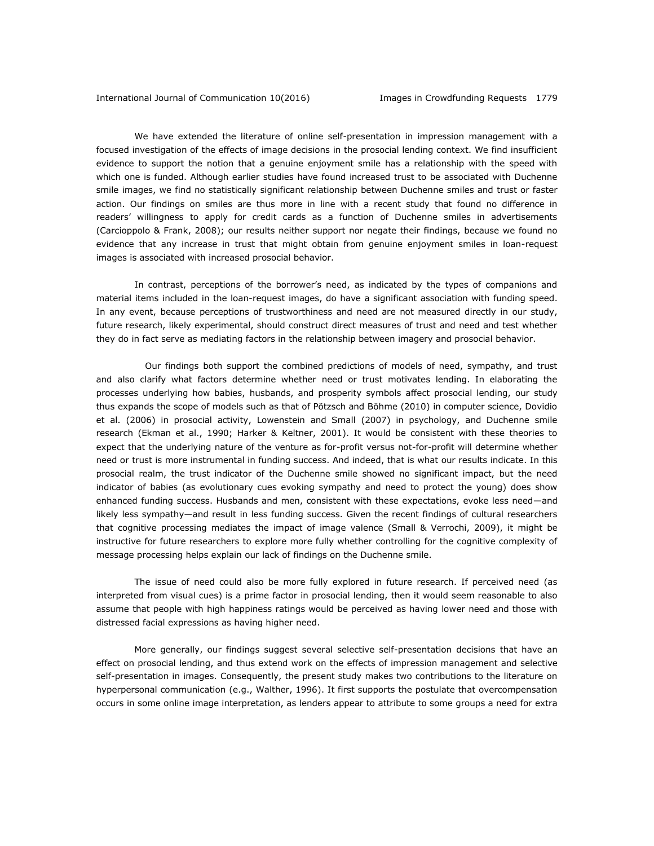We have extended the literature of online self-presentation in impression management with a focused investigation of the effects of image decisions in the prosocial lending context. We find insufficient evidence to support the notion that a genuine enjoyment smile has a relationship with the speed with which one is funded. Although earlier studies have found increased trust to be associated with Duchenne smile images, we find no statistically significant relationship between Duchenne smiles and trust or faster action. Our findings on smiles are thus more in line with a recent study that found no difference in readers' willingness to apply for credit cards as a function of Duchenne smiles in advertisements (Carcioppolo & Frank, 2008); our results neither support nor negate their findings, because we found no evidence that any increase in trust that might obtain from genuine enjoyment smiles in loan-request images is associated with increased prosocial behavior.

In contrast, perceptions of the borrower's need, as indicated by the types of companions and material items included in the loan-request images, do have a significant association with funding speed. In any event, because perceptions of trustworthiness and need are not measured directly in our study, future research, likely experimental, should construct direct measures of trust and need and test whether they do in fact serve as mediating factors in the relationship between imagery and prosocial behavior.

Our findings both support the combined predictions of models of need, sympathy, and trust and also clarify what factors determine whether need or trust motivates lending. In elaborating the processes underlying how babies, husbands, and prosperity symbols affect prosocial lending, our study thus expands the scope of models such as that of Pötzsch and Böhme (2010) in computer science, Dovidio et al. (2006) in prosocial activity, Lowenstein and Small (2007) in psychology, and Duchenne smile research (Ekman et al., 1990; Harker & Keltner, 2001). It would be consistent with these theories to expect that the underlying nature of the venture as for-profit versus not-for-profit will determine whether need or trust is more instrumental in funding success. And indeed, that is what our results indicate. In this prosocial realm, the trust indicator of the Duchenne smile showed no significant impact, but the need indicator of babies (as evolutionary cues evoking sympathy and need to protect the young) does show enhanced funding success. Husbands and men, consistent with these expectations, evoke less need—and likely less sympathy—and result in less funding success. Given the recent findings of cultural researchers that cognitive processing mediates the impact of image valence (Small & Verrochi, 2009), it might be instructive for future researchers to explore more fully whether controlling for the cognitive complexity of message processing helps explain our lack of findings on the Duchenne smile.

The issue of need could also be more fully explored in future research. If perceived need (as interpreted from visual cues) is a prime factor in prosocial lending, then it would seem reasonable to also assume that people with high happiness ratings would be perceived as having lower need and those with distressed facial expressions as having higher need.

More generally, our findings suggest several selective self-presentation decisions that have an effect on prosocial lending, and thus extend work on the effects of impression management and selective self-presentation in images. Consequently, the present study makes two contributions to the literature on hyperpersonal communication (e.g., Walther, 1996). It first supports the postulate that overcompensation occurs in some online image interpretation, as lenders appear to attribute to some groups a need for extra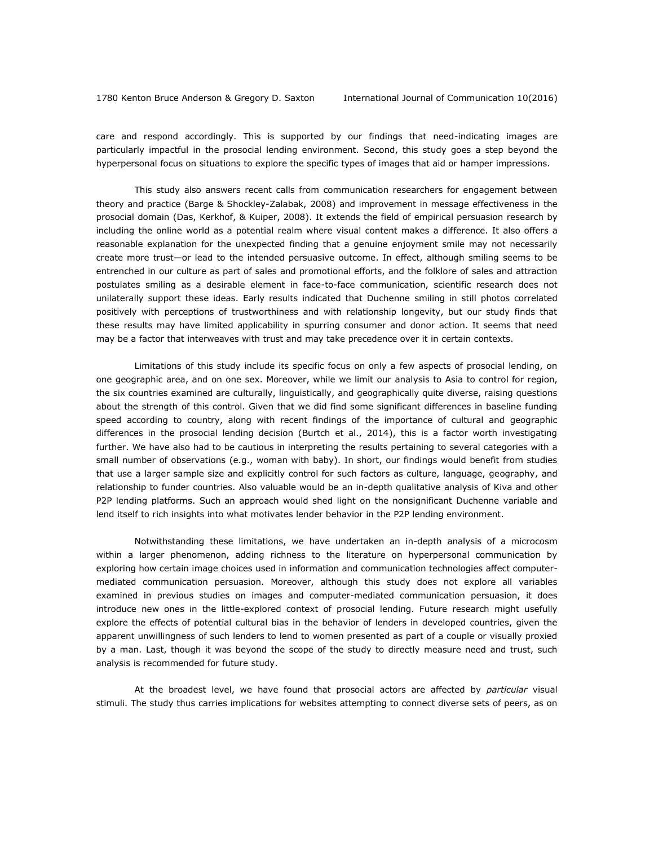care and respond accordingly. This is supported by our findings that need-indicating images are particularly impactful in the prosocial lending environment. Second, this study goes a step beyond the hyperpersonal focus on situations to explore the specific types of images that aid or hamper impressions.

This study also answers recent calls from communication researchers for engagement between theory and practice (Barge & Shockley-Zalabak, 2008) and improvement in message effectiveness in the prosocial domain (Das, Kerkhof, & Kuiper, 2008). It extends the field of empirical persuasion research by including the online world as a potential realm where visual content makes a difference. It also offers a reasonable explanation for the unexpected finding that a genuine enjoyment smile may not necessarily create more trust—or lead to the intended persuasive outcome. In effect, although smiling seems to be entrenched in our culture as part of sales and promotional efforts, and the folklore of sales and attraction postulates smiling as a desirable element in face-to-face communication, scientific research does not unilaterally support these ideas. Early results indicated that Duchenne smiling in still photos correlated positively with perceptions of trustworthiness and with relationship longevity, but our study finds that these results may have limited applicability in spurring consumer and donor action. It seems that need may be a factor that interweaves with trust and may take precedence over it in certain contexts.

Limitations of this study include its specific focus on only a few aspects of prosocial lending, on one geographic area, and on one sex. Moreover, while we limit our analysis to Asia to control for region, the six countries examined are culturally, linguistically, and geographically quite diverse, raising questions about the strength of this control. Given that we did find some significant differences in baseline funding speed according to country, along with recent findings of the importance of cultural and geographic differences in the prosocial lending decision (Burtch et al., 2014), this is a factor worth investigating further. We have also had to be cautious in interpreting the results pertaining to several categories with a small number of observations (e.g., woman with baby). In short, our findings would benefit from studies that use a larger sample size and explicitly control for such factors as culture, language, geography, and relationship to funder countries. Also valuable would be an in-depth qualitative analysis of Kiva and other P2P lending platforms. Such an approach would shed light on the nonsignificant Duchenne variable and lend itself to rich insights into what motivates lender behavior in the P2P lending environment.

Notwithstanding these limitations, we have undertaken an in-depth analysis of a microcosm within a larger phenomenon, adding richness to the literature on hyperpersonal communication by exploring how certain image choices used in information and communication technologies affect computermediated communication persuasion. Moreover, although this study does not explore all variables examined in previous studies on images and computer-mediated communication persuasion, it does introduce new ones in the little-explored context of prosocial lending. Future research might usefully explore the effects of potential cultural bias in the behavior of lenders in developed countries, given the apparent unwillingness of such lenders to lend to women presented as part of a couple or visually proxied by a man. Last, though it was beyond the scope of the study to directly measure need and trust, such analysis is recommended for future study.

At the broadest level, we have found that prosocial actors are affected by *particular* visual stimuli. The study thus carries implications for websites attempting to connect diverse sets of peers, as on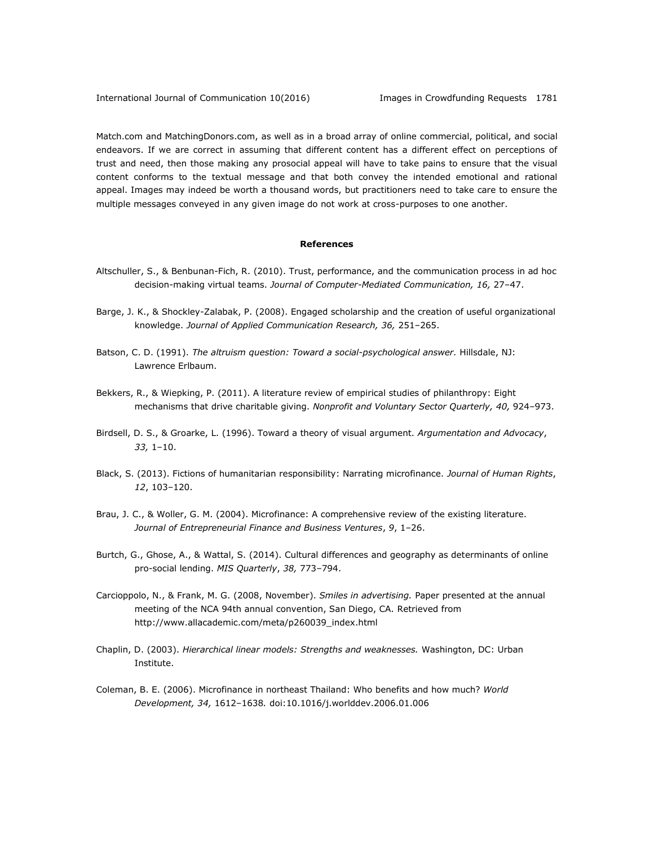Match.com and MatchingDonors.com, as well as in a broad array of online commercial, political, and social endeavors. If we are correct in assuming that different content has a different effect on perceptions of trust and need, then those making any prosocial appeal will have to take pains to ensure that the visual content conforms to the textual message and that both convey the intended emotional and rational appeal. Images may indeed be worth a thousand words, but practitioners need to take care to ensure the multiple messages conveyed in any given image do not work at cross-purposes to one another.

## **References**

- Altschuller, S., & Benbunan-Fich, R. (2010). Trust, performance, and the communication process in ad hoc decision-making virtual teams. *Journal of Computer-Mediated Communication, 16,* 27–47.
- Barge, J. K., & Shockley-Zalabak, P. (2008). Engaged scholarship and the creation of useful organizational knowledge. *Journal of Applied Communication Research, 36,* 251–265.
- Batson, C. D. (1991). *The altruism question: Toward a social-psychological answer.* Hillsdale, NJ: Lawrence Erlbaum.
- Bekkers, R., & Wiepking, P. (2011). A literature review of empirical studies of philanthropy: Eight mechanisms that drive charitable giving. *Nonprofit and Voluntary Sector Quarterly, 40,* 924–973.
- Birdsell, D. S., & Groarke, L. (1996). Toward a theory of visual argument. *Argumentation and Advocacy*, *33,* 1–10.
- Black, S. (2013). Fictions of humanitarian responsibility: Narrating microfinance. *Journal of Human Rights*, *12*, 103–120.
- Brau, J. C., & Woller, G. M. (2004). Microfinance: A comprehensive review of the existing literature. *Journal of Entrepreneurial Finance and Business Ventures*, *9*, 1–26.
- Burtch, G., Ghose, A., & Wattal, S. (2014). Cultural differences and geography as determinants of online pro-social lending. *MIS Quarterly*, *38,* 773–794.
- Carcioppolo, N., & Frank, M. G. (2008, November). *Smiles in advertising.* Paper presented at the annual meeting of the NCA 94th annual convention, San Diego, CA. Retrieved from [http://www.allacademic.com/meta/p260039\\_index.html](http://www.allacademic.com/meta/p260039_index.html)
- Chaplin, D. (2003). *Hierarchical linear models: Strengths and weaknesses.* Washington, DC: Urban Institute.
- Coleman, B. E. (2006). Microfinance in northeast Thailand: Who benefits and how much? *World Development, 34,* 1612–1638*.* doi:10.1016/j.worlddev.2006.01.006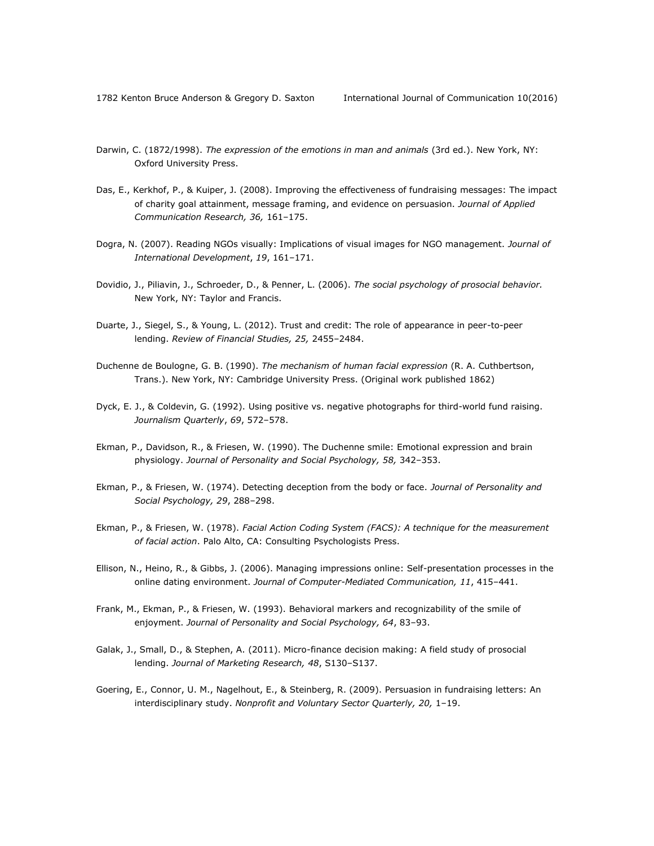- Darwin, C. (1872/1998). *The expression of the emotions in man and animals* (3rd ed.). New York, NY: Oxford University Press.
- Das, E., Kerkhof, P., & Kuiper, J. (2008). Improving the effectiveness of fundraising messages: The impact of charity goal attainment, message framing, and evidence on persuasion. *Journal of Applied Communication Research, 36,* 161–175.
- Dogra, N. (2007). Reading NGOs visually: Implications of visual images for NGO management. *Journal of International Development*, *19*, 161–171.
- Dovidio, J., Piliavin, J., Schroeder, D., & Penner, L. (2006). *The social psychology of prosocial behavior.*  New York, NY: Taylor and Francis.
- Duarte, J., Siegel, S., & Young, L. (2012). Trust and credit: The role of appearance in peer-to-peer lending. *Review of Financial Studies, 25,* 2455–2484.
- Duchenne de Boulogne, G. B. (1990). *The mechanism of human facial expression* (R. A. Cuthbertson, Trans.). New York, NY: Cambridge University Press. (Original work published 1862)
- Dyck, E. J., & Coldevin, G. (1992). Using positive vs. negative photographs for third-world fund raising. *Journalism Quarterly*, *69*, 572–578.
- Ekman, P., Davidson, R., & Friesen, W. (1990). The Duchenne smile: Emotional expression and brain physiology. *Journal of Personality and Social Psychology, 58,* 342–353.
- Ekman, P., & Friesen, W. (1974). Detecting deception from the body or face. *Journal of Personality and Social Psychology, 29*, 288–298.
- Ekman, P., & Friesen, W. (1978). *Facial Action Coding System (FACS): A technique for the measurement of facial action*. Palo Alto, CA: Consulting Psychologists Press.
- Ellison, N., Heino, R., & Gibbs, J. (2006). Managing impressions online: Self-presentation processes in the online dating environment. *Journal of Computer-Mediated Communication, 11*, 415–441.
- Frank, M., Ekman, P., & Friesen, W. (1993). Behavioral markers and recognizability of the smile of enjoyment. *Journal of Personality and Social Psychology, 64*, 83–93.
- Galak, J., Small, D., & Stephen, A. (2011). Micro-finance decision making: A field study of prosocial lending. *Journal of Marketing Research, 48*, S130–S137.
- Goering, E., Connor, U. M., Nagelhout, E., & Steinberg, R. (2009). Persuasion in fundraising letters: An interdisciplinary study. *Nonprofit and Voluntary Sector Quarterly, 20,* 1–19.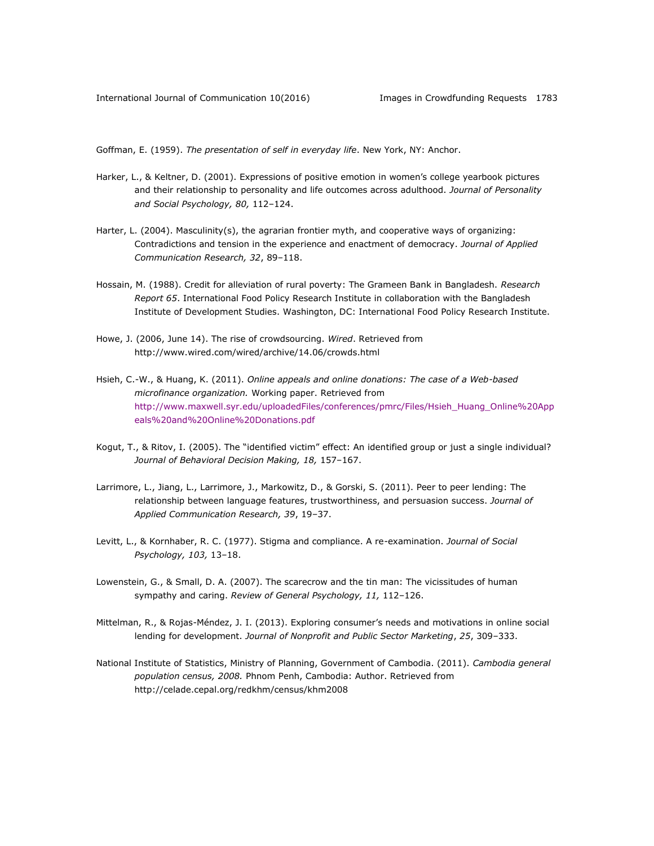Goffman, E. (1959). *The presentation of self in everyday life*. New York, NY: Anchor.

- Harker, L., & Keltner, D. (2001). Expressions of positive emotion in women's college yearbook pictures and their relationship to personality and life outcomes across adulthood. *Journal of Personality and Social Psychology, 80,* 112–124.
- Harter, L. (2004). Masculinity(s), the agrarian frontier myth, and cooperative ways of organizing: Contradictions and tension in the experience and enactment of democracy. *Journal of Applied Communication Research, 32*, 89–118.
- Hossain, M. (1988). Credit for alleviation of rural poverty: The Grameen Bank in Bangladesh. *Research Report 65*. International Food Policy Research Institute in collaboration with the Bangladesh Institute of Development Studies. Washington, DC: International Food Policy Research Institute.
- Howe, J. (2006, June 14). The rise of crowdsourcing. *Wired*. Retrieved from <http://www.wired.com/wired/archive/14.06/crowds.html>
- Hsieh, C.-W., & Huang, K. (2011). *Online appeals and online donations: The case of a Web-based microfinance organization.* Working paper. Retrieved from [http://www.maxwell.syr.edu/uploadedFiles/conferences/pmrc/Files/Hsieh\\_Huang\\_Online%20App](http://www.maxwell.syr.edu/uploadedFiles/conferences/pmrc/Files/Hsieh_Huang_Online%20Appeals%20and%20Online%20Donations.pdf) [eals%20and%20Online%20Donations.pdf](http://www.maxwell.syr.edu/uploadedFiles/conferences/pmrc/Files/Hsieh_Huang_Online%20Appeals%20and%20Online%20Donations.pdf)
- Kogut, T., & Ritov, I. (2005). The "identified victim" effect: An identified group or just a single individual? *Journal of Behavioral Decision Making, 18,* 157–167.
- Larrimore, L., Jiang, L., Larrimore, J., Markowitz, D., & Gorski, S. (2011). Peer to peer lending: The relationship between language features, trustworthiness, and persuasion success. *Journal of Applied Communication Research, 39*, 19–37.
- Levitt, L., & Kornhaber, R. C. (1977). Stigma and compliance. A re-examination. *Journal of Social Psychology, 103,* 13–18.
- Lowenstein, G., & Small, D. A. (2007). The scarecrow and the tin man: The vicissitudes of human sympathy and caring. *Review of General Psychology, 11,* 112–126.
- Mittelman, R., & Rojas-Méndez, J. I. (2013). Exploring consumer's needs and motivations in online social lending for development. *Journal of Nonprofit and Public Sector Marketing*, *25*, 309–333.
- National Institute of Statistics, Ministry of Planning, Government of Cambodia. (2011). *Cambodia general population census, 2008.* Phnom Penh, Cambodia: Author. Retrieved from <http://celade.cepal.org/redkhm/census/khm2008>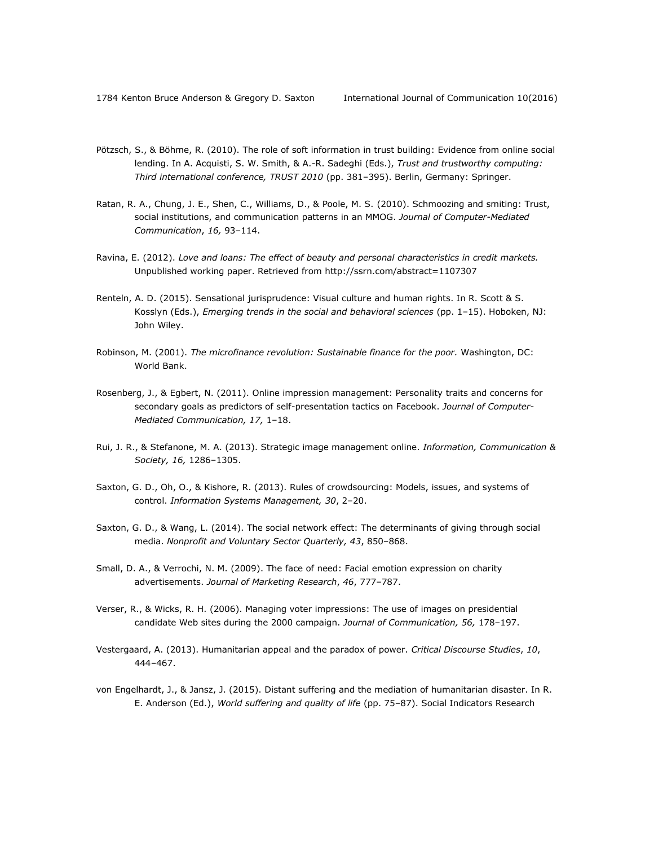- Pötzsch, S., & Böhme, R. (2010). The role of soft information in trust building: Evidence from online social lending. In A. Acquisti, S. W. Smith, & A.-R. Sadeghi (Eds.), *Trust and trustworthy computing: Third international conference, TRUST 2010* (pp. 381–395). Berlin, Germany: Springer.
- Ratan, R. A., Chung, J. E., Shen, C., Williams, D., & Poole, M. S. (2010). Schmoozing and smiting: Trust, social institutions, and communication patterns in an MMOG. *Journal of Computer-Mediated Communication*, *16,* 93–114.
- Ravina, E. (2012). *Love and loans: The effect of beauty and personal characteristics in credit markets.* Unpublished working paper. Retrieved from<http://ssrn.com/abstract=1107307>
- Renteln, A. D. (2015). Sensational jurisprudence: Visual culture and human rights. In R. Scott & S. Kosslyn (Eds.), *Emerging trends in the social and behavioral sciences* (pp. 1–15). Hoboken, NJ: John Wiley.
- Robinson, M. (2001). *The microfinance revolution: Sustainable finance for the poor.* Washington, DC: World Bank.
- Rosenberg, J., & Egbert, N. (2011). Online impression management: Personality traits and concerns for secondary goals as predictors of self-presentation tactics on Facebook. *Journal of Computer-Mediated Communication, 17,* 1–18.
- Rui, J. R., & Stefanone, M. A. (2013). Strategic image management online. *Information, Communication & Society, 16,* 1286–1305.
- Saxton, G. D., Oh, O., & Kishore, R. (2013). Rules of crowdsourcing: Models, issues, and systems of control. *Information Systems Management, 30*, 2–20.
- Saxton, G. D., & Wang, L. (2014). The social network effect: The determinants of giving through social media. *Nonprofit and Voluntary Sector Quarterly, 43*, 850–868.
- Small, D. A., & Verrochi, N. M. (2009). The face of need: Facial emotion expression on charity advertisements. *Journal of Marketing Research*, *46*, 777–787.
- Verser, R., & Wicks, R. H. (2006). Managing voter impressions: The use of images on presidential candidate Web sites during the 2000 campaign. *Journal of Communication, 56,* 178–197.
- Vestergaard, A. (2013). Humanitarian appeal and the paradox of power. *Critical Discourse Studies*, *10*, 444–467.
- von Engelhardt, J., & Jansz, J. (2015). Distant suffering and the mediation of humanitarian disaster. In R. E. Anderson (Ed.), *World suffering and quality of life* (pp. 75–87). Social Indicators Research